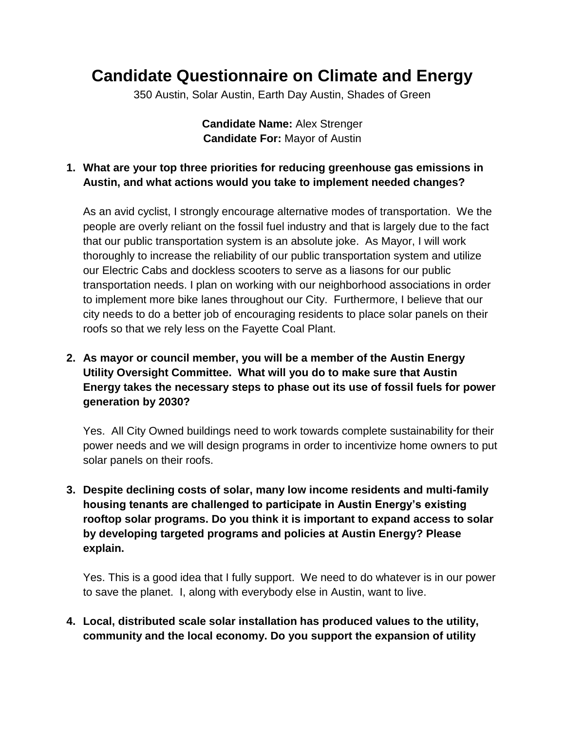# **Candidate Questionnaire on Climate and Energy**

350 Austin, Solar Austin, Earth Day Austin, Shades of Green

**Candidate Name:** Alex Strenger **Candidate For:** Mayor of Austin

### **1. What are your top three priorities for reducing greenhouse gas emissions in Austin, and what actions would you take to implement needed changes?**

As an avid cyclist, I strongly encourage alternative modes of transportation. We the people are overly reliant on the fossil fuel industry and that is largely due to the fact that our public transportation system is an absolute joke. As Mayor, I will work thoroughly to increase the reliability of our public transportation system and utilize our Electric Cabs and dockless scooters to serve as a liasons for our public transportation needs. I plan on working with our neighborhood associations in order to implement more bike lanes throughout our City. Furthermore, I believe that our city needs to do a better job of encouraging residents to place solar panels on their roofs so that we rely less on the Fayette Coal Plant.

## **2. As mayor or council member, you will be a member of the Austin Energy Utility Oversight Committee. What will you do to make sure that Austin Energy takes the necessary steps to phase out its use of fossil fuels for power generation by 2030?**

Yes. All City Owned buildings need to work towards complete sustainability for their power needs and we will design programs in order to incentivize home owners to put solar panels on their roofs.

**3. Despite declining costs of solar, many low income residents and multi-family housing tenants are challenged to participate in Austin Energy's existing rooftop solar programs. Do you think it is important to expand access to solar by developing targeted programs and policies at Austin Energy? Please explain.**

Yes. This is a good idea that I fully support. We need to do whatever is in our power to save the planet. I, along with everybody else in Austin, want to live.

**4. Local, distributed scale solar installation has produced values to the utility, community and the local economy. Do you support the expansion of utility**